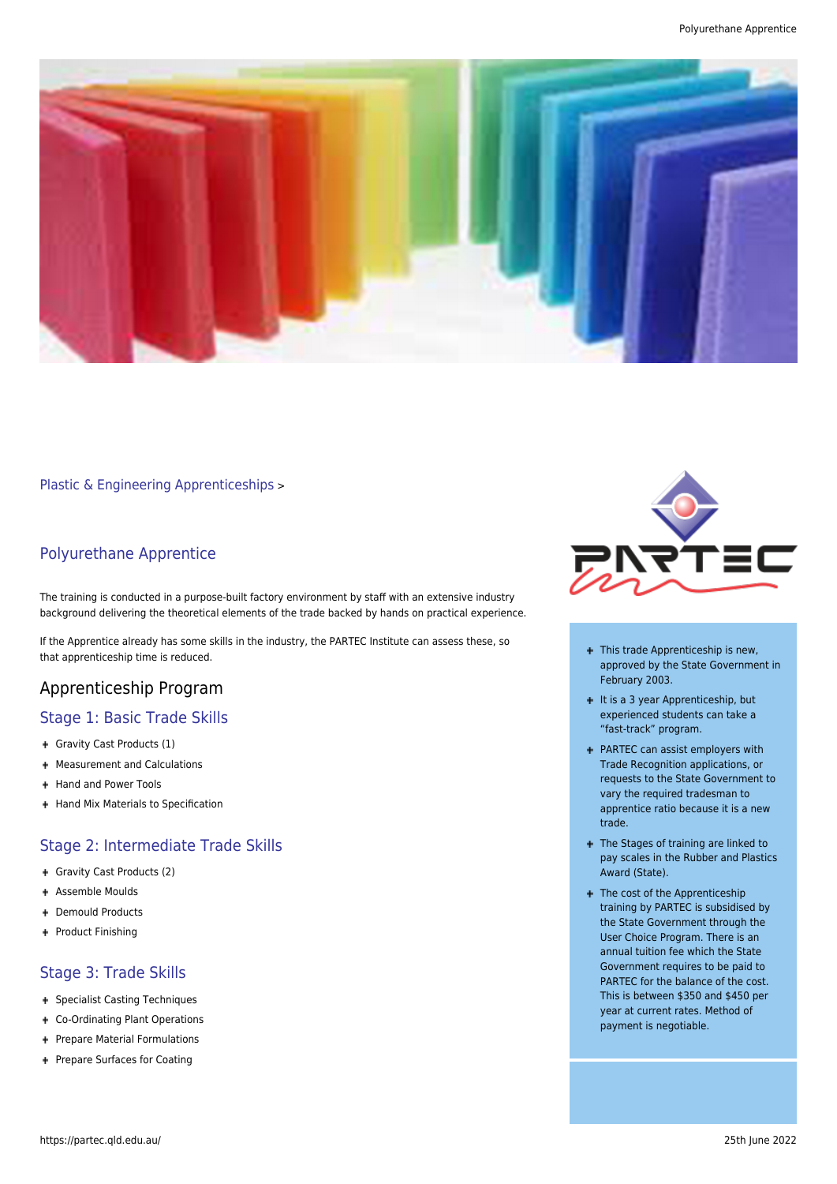

[Plastic & Engineering Apprenticeships](https://partec.qld.edu.au/plastic-engineering-apprenticeships/) >

#### Polyurethane Apprentice

The training is conducted in a purpose-built factory environment by staff with an extensive industry background delivering the theoretical elements of the trade backed by hands on practical experience.

If the Apprentice already has some skills in the industry, the PARTEC Institute can assess these, so that apprenticeship time is reduced.

## Apprenticeship Program

#### Stage 1: Basic Trade Skills

- Gravity Cast Products (1)
- + Measurement and Calculations
- + Hand and Power Tools
- + Hand Mix Materials to Specification

## Stage 2: Intermediate Trade Skills

- Gravity Cast Products (2)
- Assemble Moulds
- Demould Products
- + Product Finishing

## Stage 3: Trade Skills

- + Specialist Casting Techniques
- Co-Ordinating Plant Operations
- + Prepare Material Formulations
- + Prepare Surfaces for Coating



- + This trade Apprenticeship is new, approved by the State Government in February 2003.
- $+$  It is a 3 year Apprenticeship, but experienced students can take a "fast-track" program.
- PARTEC can assist employers with Trade Recognition applications, or requests to the State Government to vary the required tradesman to apprentice ratio because it is a new trade.
- + The Stages of training are linked to pay scales in the Rubber and Plastics Award (State).
- + The cost of the Apprenticeship training by PARTEC is subsidised by the State Government through the User Choice Program. There is an annual tuition fee which the State Government requires to be paid to PARTEC for the balance of the cost. This is between \$350 and \$450 per year at current rates. Method of payment is negotiable.